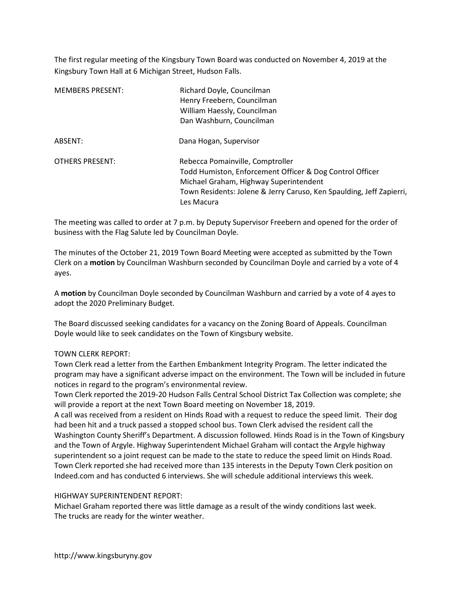The first regular meeting of the Kingsbury Town Board was conducted on November 4, 2019 at the Kingsbury Town Hall at 6 Michigan Street, Hudson Falls.

| <b>MEMBERS PRESENT:</b> | Richard Doyle, Councilman<br>Henry Freebern, Councilman<br>William Haessly, Councilman<br>Dan Washburn, Councilman                                                                                                           |
|-------------------------|------------------------------------------------------------------------------------------------------------------------------------------------------------------------------------------------------------------------------|
| ABSENT:                 | Dana Hogan, Supervisor                                                                                                                                                                                                       |
| <b>OTHERS PRESENT:</b>  | Rebecca Pomainville, Comptroller<br>Todd Humiston, Enforcement Officer & Dog Control Officer<br>Michael Graham, Highway Superintendent<br>Town Residents: Jolene & Jerry Caruso, Ken Spaulding, Jeff Zapierri,<br>Les Macura |

The meeting was called to order at 7 p.m. by Deputy Supervisor Freebern and opened for the order of business with the Flag Salute led by Councilman Doyle.

The minutes of the October 21, 2019 Town Board Meeting were accepted as submitted by the Town Clerk on a motion by Councilman Washburn seconded by Councilman Doyle and carried by a vote of 4 ayes.

A motion by Councilman Doyle seconded by Councilman Washburn and carried by a vote of 4 ayes to adopt the 2020 Preliminary Budget.

The Board discussed seeking candidates for a vacancy on the Zoning Board of Appeals. Councilman Doyle would like to seek candidates on the Town of Kingsbury website.

## TOWN CLERK REPORT:

Town Clerk read a letter from the Earthen Embankment Integrity Program. The letter indicated the program may have a significant adverse impact on the environment. The Town will be included in future notices in regard to the program's environmental review.

Town Clerk reported the 2019-20 Hudson Falls Central School District Tax Collection was complete; she will provide a report at the next Town Board meeting on November 18, 2019.

A call was received from a resident on Hinds Road with a request to reduce the speed limit. Their dog had been hit and a truck passed a stopped school bus. Town Clerk advised the resident call the Washington County Sheriff's Department. A discussion followed. Hinds Road is in the Town of Kingsbury and the Town of Argyle. Highway Superintendent Michael Graham will contact the Argyle highway superintendent so a joint request can be made to the state to reduce the speed limit on Hinds Road. Town Clerk reported she had received more than 135 interests in the Deputy Town Clerk position on Indeed.com and has conducted 6 interviews. She will schedule additional interviews this week.

## HIGHWAY SUPERINTENDENT REPORT:

Michael Graham reported there was little damage as a result of the windy conditions last week. The trucks are ready for the winter weather.